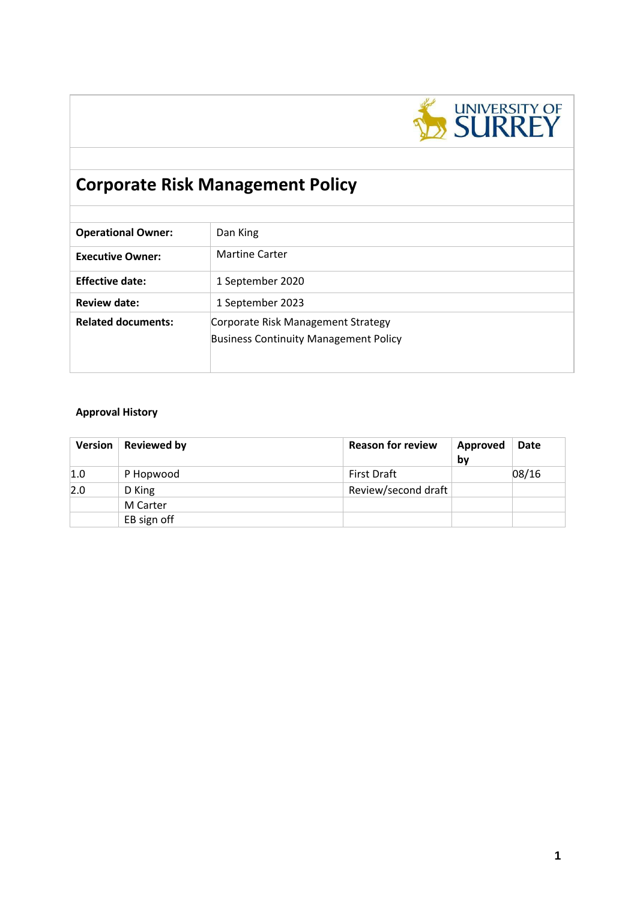

# **Corporate Risk Management Policy**

| Dan King                                                                           |
|------------------------------------------------------------------------------------|
| <b>Martine Carter</b>                                                              |
| 1 September 2020                                                                   |
| 1 September 2023                                                                   |
| Corporate Risk Management Strategy<br><b>Business Continuity Management Policy</b> |
|                                                                                    |

## **Approval History**

| Version | <b>Reviewed by</b> | <b>Reason for review</b> | Approved<br>by | <b>Date</b> |
|---------|--------------------|--------------------------|----------------|-------------|
| 1.0     | P Hopwood          | <b>First Draft</b>       |                | 08/16       |
| 2.0     | D King             | Review/second draft      |                |             |
|         | M Carter           |                          |                |             |
|         | EB sign off        |                          |                |             |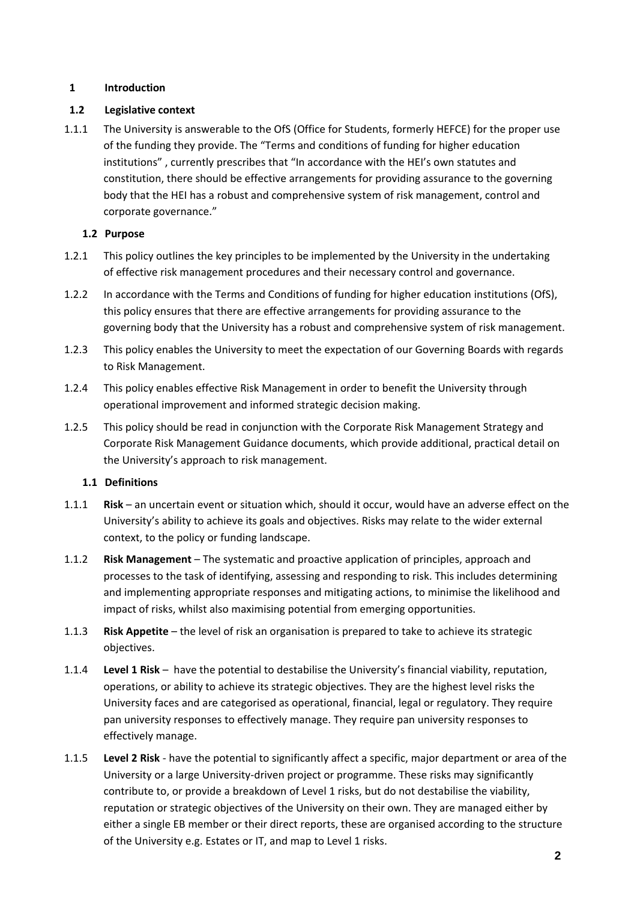## **1 Introduction**

## **1.2 Legislative context**

1.1.1 The University is answerable to the OfS (Office for Students, formerly HEFCE) for the proper use of the funding they provide. The "[Terms and conditions of funding for higher education](https://www.officeforstudents.org.uk/publications/terms-and-conditions-of-funding-for-2020-21/)  [institutions](https://www.officeforstudents.org.uk/publications/terms-and-conditions-of-funding-for-2020-21/)" , currently prescribes that "In accordance with the HEI's own statutes and constitution, there should be effective arrangements for providing assurance to the governing body that the HEI has a robust and comprehensive system of risk management, control and corporate governance."

## **1.2 Purpose**

- 1.2.1 This policy outlines the key principles to be implemented by the University in the undertaking of effective risk management procedures and their necessary control and governance.
- 1.2.2 In accordance with the Terms and Conditions of funding for higher education institutions (OfS), this policy ensures that there are effective arrangements for providing assurance to the governing body that the University has a robust and comprehensive system of risk management.
- 1.2.3 This policy enables the University to meet the expectation of our Governing Boards with regards to Risk Management.
- 1.2.4 This policy enables effective Risk Management in order to benefit the University through operational improvement and informed strategic decision making.
- 1.2.5 This policy should be read in conjunction with the Corporate Risk Management Strategy and Corporate Risk Management Guidance documents, which provide additional, practical detail on the University's approach to risk management.

### **1.1 Definitions**

- 1.1.1 **Risk**  an uncertain event or situation which, should it occur, would have an adverse effect on the University's ability to achieve its goals and objectives. Risks may relate to the wider external context, to the policy or funding landscape.
- 1.1.2 **Risk Management** The systematic and proactive application of principles, approach and processes to the task of identifying, assessing and responding to risk. This includes determining and implementing appropriate responses and mitigating actions, to minimise the likelihood and impact of risks, whilst also maximising potential from emerging opportunities.
- 1.1.3 **Risk Appetite**  the level of risk an organisation is prepared to take to achieve its strategic objectives.
- 1.1.4 **Level 1 Risk**  have the potential to destabilise the University's financial viability, reputation, operations, or ability to achieve its strategic objectives. They are the highest level risks the University faces and are categorised as operational, financial, legal or regulatory. They require pan university responses to effectively manage. They require pan university responses to effectively manage.
- 1.1.5 **Level 2 Risk** have the potential to significantly affect a specific, major department or area of the University or a large University-driven project or programme. These risks may significantly contribute to, or provide a breakdown of Level 1 risks, but do not destabilise the viability, reputation or strategic objectives of the University on their own. They are managed either by either a single EB member or their direct reports, these are organised according to the structure of the University e.g. Estates or IT, and map to Level 1 risks.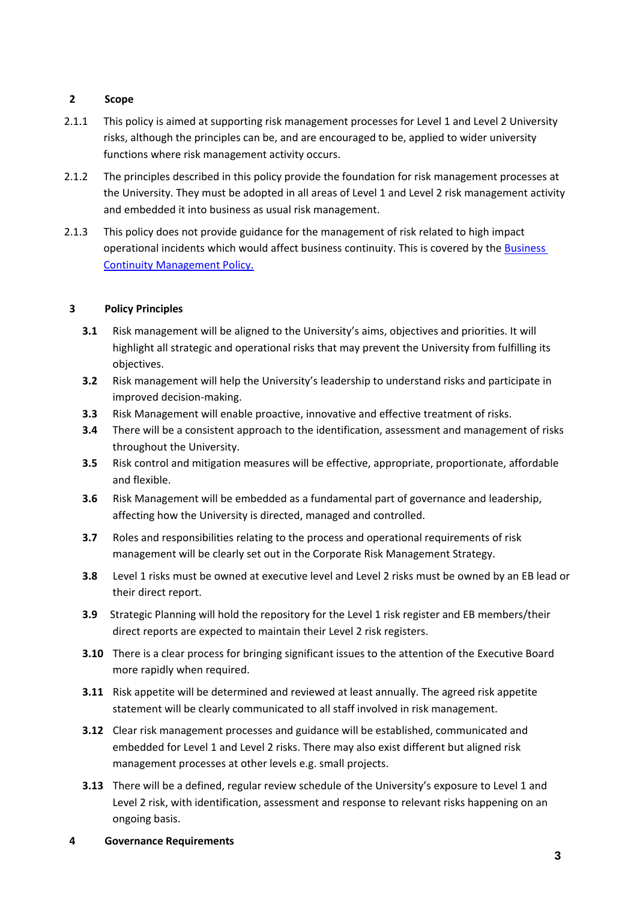### **2 Scope**

- 2.1.1 This policy is aimed at supporting risk management processes for Level 1 and Level 2 University risks, although the principles can be, and are encouraged to be, applied to wider university functions where risk management activity occurs.
- 2.1.2 The principles described in this policy provide the foundation for risk management processes at the University. They must be adopted in all areas of Level 1 and Level 2 risk management activity and embedded it into business as usual risk management.
- 2.1.3 This policy does not provide guidance for the management of risk related to high impact operational incidents which would affect business continuity. This is covered by th[e Business](https://www.surrey.ac.uk/sites/default/files/2018-05/business-continuity-management-policy-%28iso22301%29-december-2017-1.0.pdf)  [Continuity Management Policy.](https://www.surrey.ac.uk/sites/default/files/2018-05/business-continuity-management-policy-%28iso22301%29-december-2017-1.0.pdf)

## **3 Policy Principles**

- **3.1** Risk management will be aligned to the University's aims, objectives and priorities. It will highlight all strategic and operational risks that may prevent the University from fulfilling its objectives.
- **3.2** Risk management will help the University's leadership to understand risks and participate in improved decision-making.
- **3.3** Risk Management will enable proactive, innovative and effective treatment of risks.
- **3.4** There will be a consistent approach to the identification, assessment and management of risks throughout the University.
- **3.5** Risk control and mitigation measures will be effective, appropriate, proportionate, affordable and flexible.
- **3.6** Risk Management will be embedded as a fundamental part of governance and leadership, affecting how the University is directed, managed and controlled.
- **3.7** Roles and responsibilities relating to the process and operational requirements of risk management will be clearly set out in the Corporate Risk Management Strategy.
- **3.8** Level 1 risks must be owned at executive level and Level 2 risks must be owned by an EB lead or their direct report.
- **3.9** Strategic Planning will hold the repository for the Level 1 risk register and EB members/their direct reports are expected to maintain their Level 2 risk registers.
- **3.10** There is a clear process for bringing significant issues to the attention of the Executive Board more rapidly when required.
- **3.11** Risk appetite will be determined and reviewed at least annually. The agreed risk appetite statement will be clearly communicated to all staff involved in risk management.
- **3.12** Clear risk management processes and guidance will be established, communicated and embedded for Level 1 and Level 2 risks. There may also exist different but aligned risk management processes at other levels e.g. small projects.
- **3.13** There will be a defined, regular review schedule of the University's exposure to Level 1 and Level 2 risk, with identification, assessment and response to relevant risks happening on an ongoing basis.
- **4 Governance Requirements**